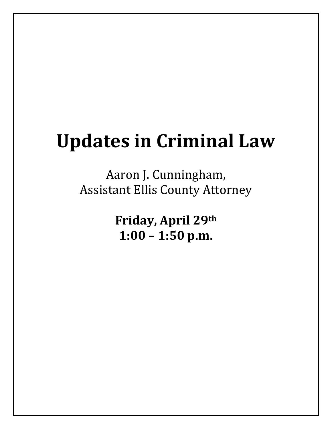#### **Updates in Criminal Law**

Aaron J. Cunningham, Assistant Ellis County Attorney

> **Friday, April 29th 1:00 – 1:50 p.m.**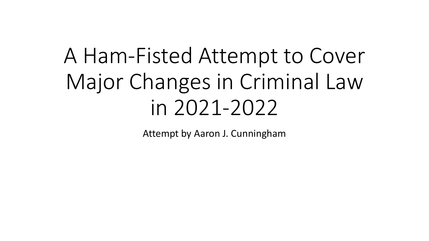# A Ham-Fisted Attempt to Cover Major Changes in Criminal Law in 2021-2022

Attempt by Aaron J. Cunningham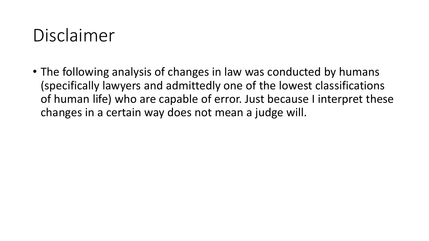## Disclaimer

• The following analysis of changes in law was conducted by humans (specifically lawyers and admittedly one of the lowest classifications of human life) who are capable of error. Just because I interpret these changes in a certain way does not mean a judge will.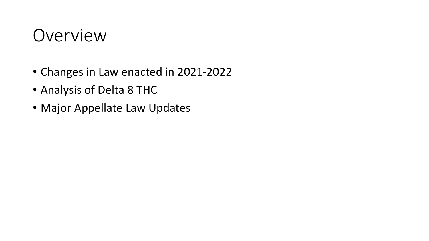## Overview

- Changes in Law enacted in 2021-2022
- Analysis of Delta 8 THC
- Major Appellate Law Updates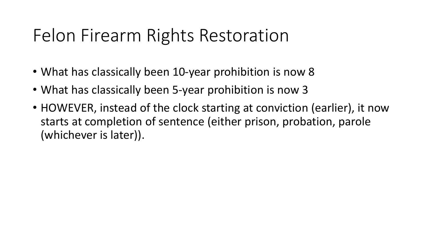## Felon Firearm Rights Restoration

- What has classically been 10-year prohibition is now 8
- What has classically been 5-year prohibition is now 3
- HOWEVER, instead of the clock starting at conviction (earlier), it now starts at completion of sentence (either prison, probation, parole (whichever is later)).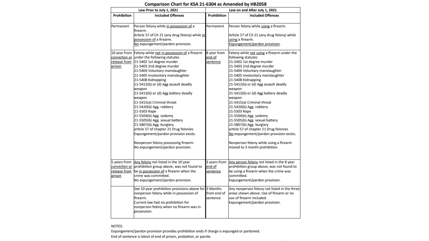| Law Prior to July 1, 2021 |                                                          | Law on and After July 1, 2021 |                                                |
|---------------------------|----------------------------------------------------------|-------------------------------|------------------------------------------------|
| <b>Prohibition</b>        | <b>Included Offenses</b>                                 | <b>Prohibition</b>            | <b>Included Offenses</b>                       |
|                           |                                                          |                               |                                                |
| Permanent                 | Person felony while in possession of a<br>firearm.       | Permanent                     | Person felony while using a firearm.           |
|                           | Article 57 of Ch 21 (any drug felony) while in           |                               | Article 57 of Ch 21 (any drug felony) while    |
|                           | possession of a firearm.                                 |                               | using a firearm.                               |
|                           | No expungement/pardon provision.                         |                               | Expungement/pardon provision.                  |
|                           | 10 year from Felony while not in possession of a firearm | 8 year from                   | Felony while not using a firearm under the     |
|                           | conviction or under the following statutes               | end of                        | following statutes                             |
|                           | release from 21-5402 1st degree murder                   | sentence                      | 21-5402 1st degree murder                      |
| prison                    | 21-5403 2nd degree murder                                |                               | 21-5403 2nd degree murder                      |
|                           | 21-5404 Voluntary manslaughter                           |                               | 21-5404 Voluntary manslaughter                 |
|                           | 21-5405 Involuntary manslaughter                         |                               | 21-5405 Involuntary manslaughter               |
|                           | 21-5408 Kidnapping                                       |                               | 21-5408 Kidnapping                             |
|                           | 21-5412(b) or (d) Agg assault deadly<br>weapon           |                               | 21-5412(b) or (d) Agg assault deadly<br>weapon |
|                           | 21-5413(b) or (d) Agg battery deadly                     |                               | 21-5413(b) or (d) Agg battery deadly           |
|                           | weapon                                                   |                               | weapon                                         |
|                           | 21-5415(a) Criminal threat                               |                               | 21-5415(a) Criminal threat                     |
|                           | 21-5420(b) Agg. robbery                                  |                               | 21-5420(b) Agg. robbery                        |
|                           | 21-5503 Rape                                             |                               | 21-5503 Rape                                   |
|                           | 21-5504(b) Agg. sodomy                                   |                               | 21-5504(b) Agg. sodomy                         |
|                           | 21-5505(b) Agg. sexual battery                           |                               | 21-5505(b) Agg. sexual battery                 |
|                           | 21-5807(b) Agg. burglary                                 |                               | 21-5807(b) Agg. burglary                       |
|                           | article 57 of chapter 21 Drug felonies                   |                               | article 57 of chapter 21 Drug felonies         |
|                           | Expungement/pardon provision exists.                     |                               | No expungement/pardon provision exists.        |
|                           | Nonperson felony possessing firearm.                     |                               | Nonperson felony while using a firearm         |
|                           | No expungement/pardon provision.                         |                               | moved to 3 month prohibition.                  |
|                           |                                                          |                               |                                                |
|                           | 5 years from Any felony not listed in the 10 year        | 3 years from                  | Any person felony not listed in the 8 year     |
|                           | conviction or prohibition group above, was not found to  | end of                        | prohibition group above, was not found to      |
| release from              | be in possession of a firearm when the                   | sentence                      | be using a firearm when the crime was          |
| prison                    | crime was committed.                                     |                               | committed.                                     |
|                           | No expungement/pardon provision.                         |                               | Expungement/pardon provision.                  |
|                           | See 10 year prohibition provisions above for 3 Months    |                               | Any nonperson felony not listed in the three   |
|                           | nonperson felony while in possession of                  | from end of                   | areas shown above. Use of firearm or no        |
|                           | firearm.                                                 | sentence                      | use of firearm included.                       |
|                           | Current law had no prohibition for                       |                               | Expungement/pardon provision.                  |
|                           | nonperson felony when no firearm was in                  |                               |                                                |
|                           | possession.                                              |                               |                                                |

#### Comparison Chart for KSA 21-6304 as Amended by HB2058

#### **NOTES:**

Expungement/pardon provision provides prohibition ends if charge is expunged or pardoned. End of sentence is latest of end of prison, probation, or parole.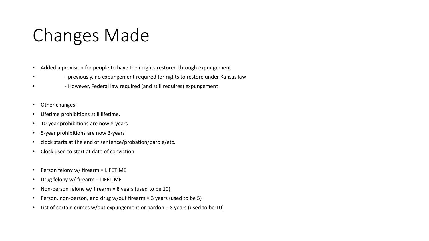## Changes Made

- Added a provision for people to have their rights restored through expungement
- - previously, no expungement required for rights to restore under Kansas law
- - However, Federal law required (and still requires) expungement
- Other changes:
- Lifetime prohibitions still lifetime.
- 10-year prohibitions are now 8-years
- 5-year prohibitions are now 3-years
- clock starts at the end of sentence/probation/parole/etc.
- Clock used to start at date of conviction
- Person felony w/ firearm = LIFETIME
- Drug felony w/ firearm = LIFETIME
- Non-person felony w/ firearm = 8 years (used to be 10)
- Person, non-person, and drug w/out firearm = 3 years (used to be 5)
- List of certain crimes w/out expungement or pardon = 8 years (used to be 10)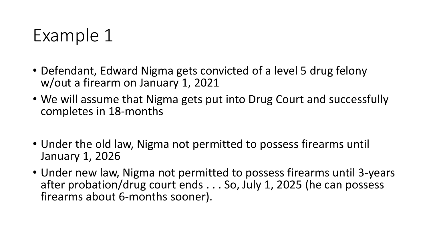## Example 1

- Defendant, Edward Nigma gets convicted of a level 5 drug felony w/out a firearm on January 1, 2021
- We will assume that Nigma gets put into Drug Court and successfully completes in 18-months
- Under the old law, Nigma not permitted to possess firearms until January 1, 2026
- Under new law, Nigma not permitted to possess firearms until 3-years after probation/drug court ends . . . So, July 1, 2025 (he can possess firearms about 6-months sooner).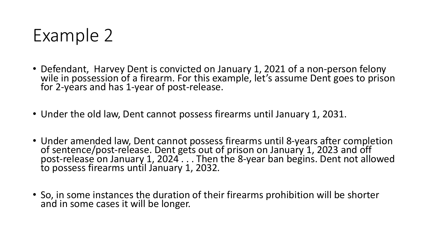

- Defendant, Harvey Dent is convicted on January 1, 2021 of a non-person felony wile in possession of a firearm. For this example, let's assume Dent goes to prison for 2-years and has 1-year of post-release.
- Under the old law, Dent cannot possess firearms until January 1, 2031.
- Under amended law, Dent cannot possess firearms until 8-years after completion of sentence/post-release. Dent gets out of prison on January 1, 2023 and off post-release on January 1, 2024 . . . Then the 8-year ban begins. Dent not allowed to possess firearms until January 1, 2032.
- So, in some instances the duration of their firearms prohibition will be shorter and in some cases it will be longer.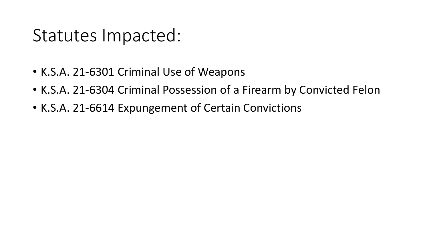## Statutes Impacted:

- K.S.A. 21-6301 Criminal Use of Weapons
- K.S.A. 21-6304 Criminal Possession of a Firearm by Convicted Felon
- K.S.A. 21-6614 Expungement of Certain Convictions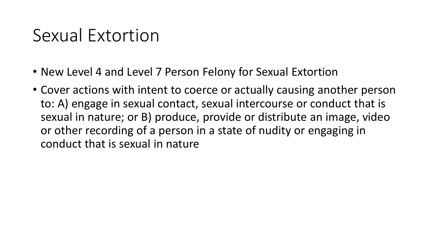## Sexual Extortion

- New Level 4 and Level 7 Person Felony for Sexual Extortion
- Cover actions with intent to coerce or actually causing another person to: A) engage in sexual contact, sexual intercourse or conduct that is sexual in nature; or B) produce, provide or distribute an image, video or other recording of a person in a state of nudity or engaging in conduct that is sexual in nature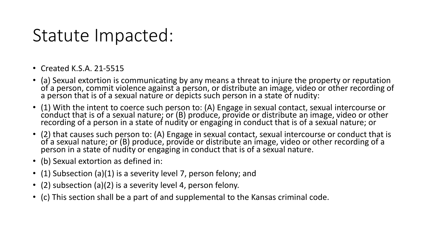## Statute Impacted:

- Created K.S.A. 21-5515
- (a) Sexual extortion is communicating by any means a threat to injure the property or reputation of a person, commit violence against a person, or distribute an image, video or other recording of a person that is of a sexual nature or depicts such person in a state of nudity:
- (1) With the intent to coerce such person to: (A) Engage in sexual contact, sexual intercourse or conduct that is of a sexual nature; or (B) produce, provide or distribute an image, video or other recording of a person in a state of nudity or engaging in conduct that is of a sexual nature; or
- (2) that causes such person to: (A) Engage in sexual contact, sexual intercourse or conduct that is of a sexual nature; or (B) produce, provide or distribute an image, video or other recording of a person in a state of nudity or engaging in conduct that is of a sexual nature.
- (b) Sexual extortion as defined in:
- (1) Subsection (a)(1) is a severity level 7, person felony; and
- (2) subsection (a)(2) is a severity level 4, person felony.
- (c) This section shall be a part of and supplemental to the Kansas criminal code.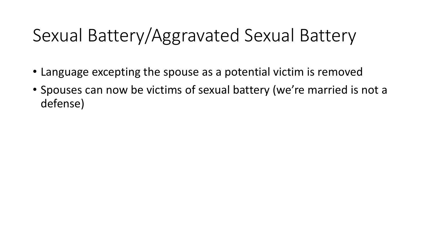## Sexual Battery/Aggravated Sexual Battery

- Language excepting the spouse as a potential victim is removed
- Spouses can now be victims of sexual battery (we're married is not a defense)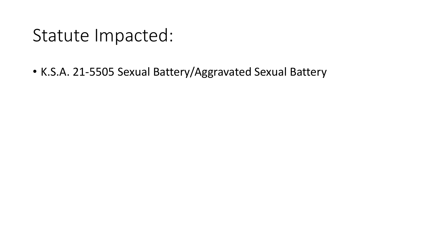#### Statute Impacted:

• K.S.A. 21-5505 Sexual Battery/Aggravated Sexual Battery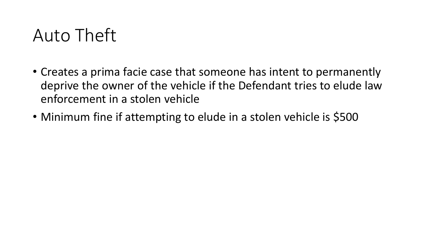## Auto Theft

- Creates a prima facie case that someone has intent to permanently deprive the owner of the vehicle if the Defendant tries to elude law enforcement in a stolen vehicle
- Minimum fine if attempting to elude in a stolen vehicle is \$500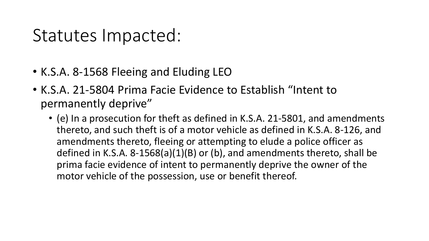## Statutes Impacted:

- K.S.A. 8-1568 Fleeing and Eluding LEO
- K.S.A. 21-5804 Prima Facie Evidence to Establish "Intent to permanently deprive"
	- (e) In a prosecution for theft as defined in K.S.A. 21-5801, and amendments thereto, and such theft is of a motor vehicle as defined in K.S.A. 8-126, and amendments thereto, fleeing or attempting to elude a police officer as defined in K.S.A. 8-1568(a)(1)(B) or (b), and amendments thereto, shall be prima facie evidence of intent to permanently deprive the owner of the motor vehicle of the possession, use or benefit thereof.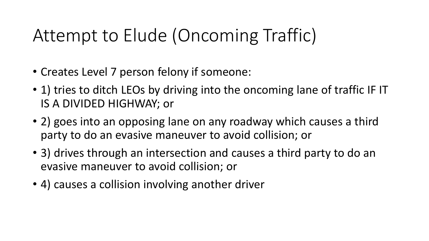## Attempt to Elude (Oncoming Traffic)

- Creates Level 7 person felony if someone:
- 1) tries to ditch LEOs by driving into the oncoming lane of traffic IF IT IS A DIVIDED HIGHWAY; or
- 2) goes into an opposing lane on any roadway which causes a third party to do an evasive maneuver to avoid collision; or
- 3) drives through an intersection and causes a third party to do an evasive maneuver to avoid collision; or
- 4) causes a collision involving another driver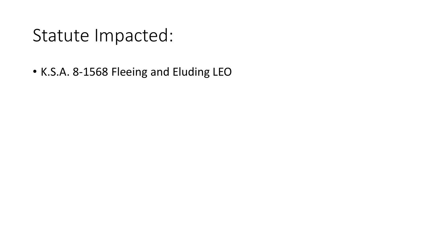### Statute Impacted:

• K.S.A. 8-1568 Fleeing and Eluding LEO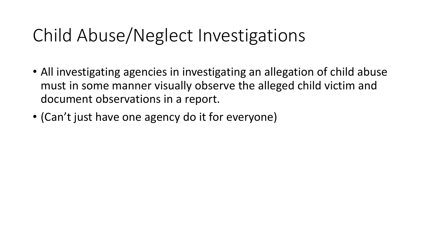## Child Abuse/Neglect Investigations

- All investigating agencies in investigating an allegation of child abuse must in some manner visually observe the alleged child victim and document observations in a report.
- (Can't just have one agency do it for everyone)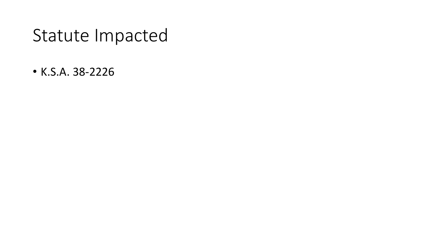## Statute Impacted

• K.S.A. 38-2226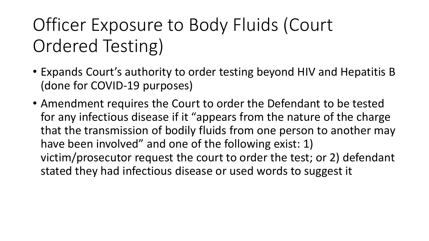## Officer Exposure to Body Fluids (Court Ordered Testing)

- Expands Court's authority to order testing beyond HIV and Hepatitis B (done for COVID-19 purposes)
- Amendment requires the Court to order the Defendant to be tested for any infectious disease if it "appears from the nature of the charge that the transmission of bodily fluids from one person to another may have been involved" and one of the following exist: 1) victim/prosecutor request the court to order the test; or 2) defendant stated they had infectious disease or used words to suggest it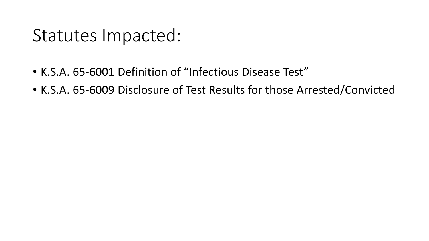## Statutes Impacted:

- K.S.A. 65-6001 Definition of "Infectious Disease Test"
- K.S.A. 65-6009 Disclosure of Test Results for those Arrested/Convicted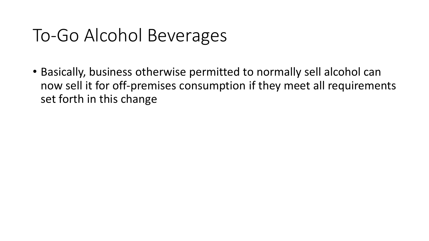## To-Go Alcohol Beverages

• Basically, business otherwise permitted to normally sell alcohol can now sell it for off-premises consumption if they meet all requirements set forth in this change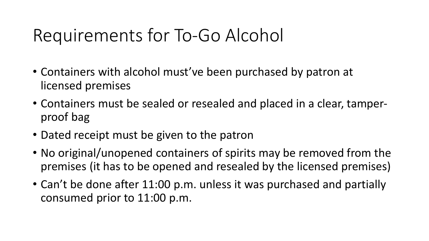## Requirements for To-Go Alcohol

- Containers with alcohol must've been purchased by patron at licensed premises
- Containers must be sealed or resealed and placed in a clear, tamperproof bag
- Dated receipt must be given to the patron
- No original/unopened containers of spirits may be removed from the premises (it has to be opened and resealed by the licensed premises)
- Can't be done after 11:00 p.m. unless it was purchased and partially consumed prior to 11:00 p.m.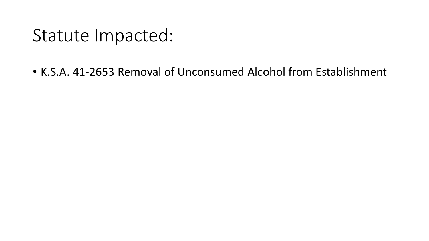## Statute Impacted:

• K.S.A. 41-2653 Removal of Unconsumed Alcohol from Establishment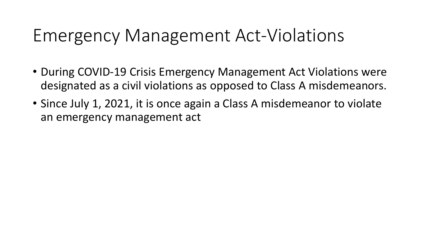## Emergency Management Act-Violations

- During COVID-19 Crisis Emergency Management Act Violations were designated as a civil violations as opposed to Class A misdemeanors.
- Since July 1, 2021, it is once again a Class A misdemeanor to violate an emergency management act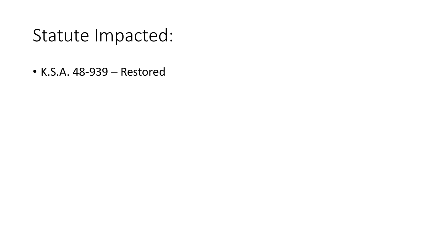### Statute Impacted:

• K.S.A. 48-939 – Restored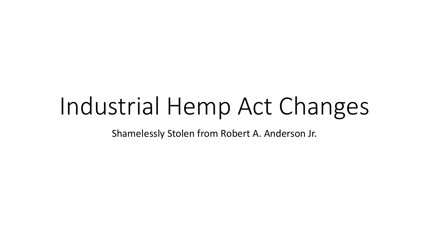# Industrial Hemp Act Changes

Shamelessly Stolen from Robert A. Anderson Jr.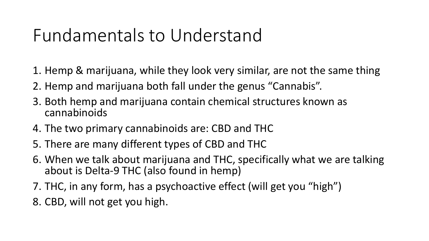## Fundamentals to Understand

- 1. Hemp & marijuana, while they look very similar, are not the same thing
- 2. Hemp and marijuana both fall under the genus "Cannabis".
- 3. Both hemp and marijuana contain chemical structures known as cannabinoids
- 4. The two primary cannabinoids are: CBD and THC
- 5. There are many different types of CBD and THC
- 6. When we talk about marijuana and THC, specifically what we are talking about is Delta-9 THC (also found in hemp)
- 7. THC, in any form, has a psychoactive effect (will get you "high")
- 8. CBD, will not get you high.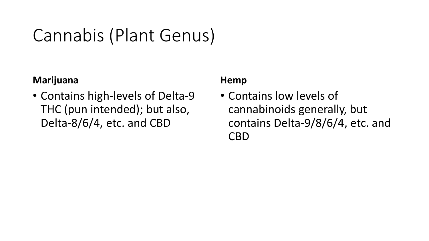## Cannabis (Plant Genus)

#### **Marijuana**

• Contains high-levels of Delta-9 THC (pun intended); but also, Delta-8/6/4, etc. and CBD

#### **Hemp**

• Contains low levels of cannabinoids generally, but contains Delta-9/8/6/4, etc. and CBD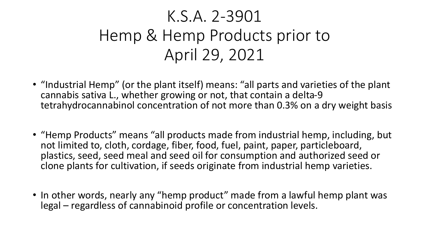## K.S.A. 2-3901 Hemp & Hemp Products prior to April 29, 2021

- "Industrial Hemp" (or the plant itself) means: "all parts and varieties of the plant cannabis sativa L., whether growing or not, that contain a delta-9 tetrahydrocannabinol concentration of not more than 0.3% on a dry weight basis
- "Hemp Products" means "all products made from industrial hemp, including, but not limited to, cloth, cordage, fiber, food, fuel, paint, paper, particleboard, plastics, seed, seed meal and seed oil for consumption and authorized seed or clone plants for cultivation, if seeds originate from industrial hemp varieties.
- In other words, nearly any "hemp product" made from a lawful hemp plant was legal – regardless of cannabinoid profile or concentration levels.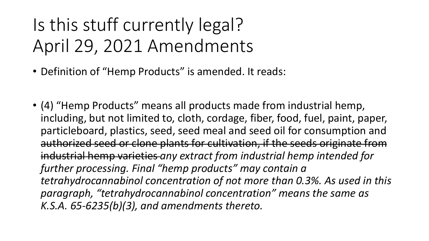## Is this stuff currently legal? April 29, 2021 Amendments

- Definition of "Hemp Products" is amended. It reads:
- (4) "Hemp Products" means all products made from industrial hemp, including, but not limited to, cloth, cordage, fiber, food, fuel, paint, paper, particleboard, plastics, seed, seed meal and seed oil for consumption and authorized seed or clone plants for cultivation, if the seeds originate from industrial hemp varieties *any extract from industrial hemp intended for further processing. Final "hemp products" may contain a tetrahydrocannabinol concentration of not more than 0.3%. As used in this paragraph, "tetrahydrocannabinol concentration" means the same as K.S.A. 65-6235(b)(3), and amendments thereto.*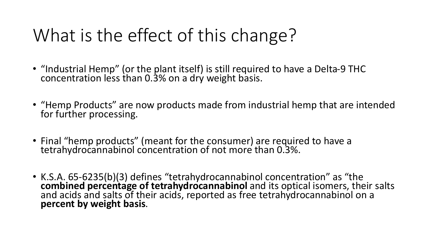## What is the effect of this change?

- "Industrial Hemp" (or the plant itself) is still required to have a Delta-9 THC concentration less than 0.3% on a dry weight basis.
- "Hemp Products" are now products made from industrial hemp that are intended for further processing.
- Final "hemp products" (meant for the consumer) are required to have a tetrahydrocannabinol concentration of not more than 0.3%.
- K.S.A. 65-6235(b)(3) defines "tetrahydrocannabinol concentration" as "the **combined percentage of tetrahydrocannabinol** and its optical isomers, their salts and acids and salts of their acids, reported as free tetrahydrocannabinol on a **percent by weight basis**.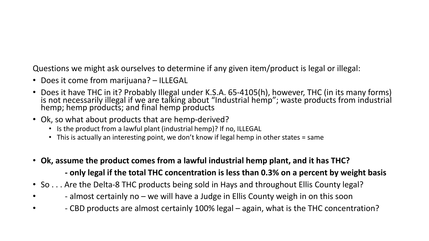Questions we might ask ourselves to determine if any given item/product is legal or illegal:

- Does it come from marijuana? ILLEGAL
- Does it have THC in it? Probably Illegal under K.S.A. 65-4105(h), however, THC (in its many forms) is not necessarily illegal if we are talking about "Industrial hemp"; waste products from industrial hemp; hemp products; and final hemp products
- Ok, so what about products that are hemp-derived?
	- Is the product from a lawful plant (industrial hemp)? If no, ILLEGAL
	- This is actually an interesting point, we don't know if legal hemp in other states = same
- **Ok, assume the product comes from a lawful industrial hemp plant, and it has THC?**

**- only legal if the total THC concentration is less than 0.3% on a percent by weight basis**

- So . . . Are the Delta-8 THC products being sold in Hays and throughout Ellis County legal?
- - almost certainly no we will have a Judge in Ellis County weigh in on this soon
- - CBD products are almost certainly 100% legal again, what is the THC concentration?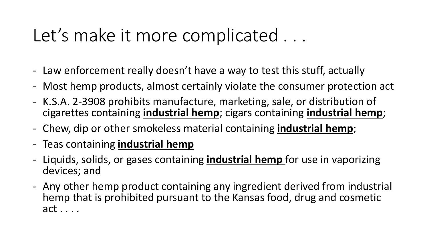## Let's make it more complicated . . .

- Law enforcement really doesn't have a way to test this stuff, actually
- Most hemp products, almost certainly violate the consumer protection act
- K.S.A. 2-3908 prohibits manufacture, marketing, sale, or distribution of cigarettes containing **industrial hemp**; cigars containing **industrial hemp**;
- Chew, dip or other smokeless material containing **industrial hemp**;
- Teas containing **industrial hemp**
- Liquids, solids, or gases containing **industrial hemp** for use in vaporizing devices; and
- Any other hemp product containing any ingredient derived from industrial hemp that is prohibited pursuant to the Kansas food, drug and cosmetic act . . . .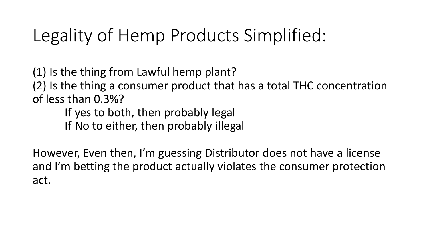## Legality of Hemp Products Simplified:

(1) Is the thing from Lawful hemp plant? (2) Is the thing a consumer product that has a total THC concentration of less than 0.3%?

If yes to both, then probably legal If No to either, then probably illegal

However, Even then, I'm guessing Distributor does not have a license and I'm betting the product actually violates the consumer protection act.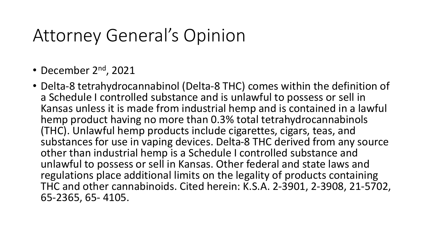### Attorney General's Opinion

- December 2<sup>nd</sup>, 2021
- Delta-8 tetrahydrocannabinol (Delta-8 THC) comes within the definition of a Schedule I controlled substance and is unlawful to possess or sell in Kansas unless it is made from industrial hemp and is contained in a lawful hemp product having no more than 0.3% total tetrahydrocannabinols (THC). Unlawful hemp products include cigarettes, cigars, teas, and substances for use in vaping devices. Delta-8 THC derived from any source other than industrial hemp is a Schedule I controlled substance and unlawful to possess or sell in Kansas. Other federal and state laws and regulations place additional limits on the legality of products containing THC and other cannabinoids. Cited herein: K.S.A. 2-3901, 2-3908, 21-5702, 65-2365, 65- 4105.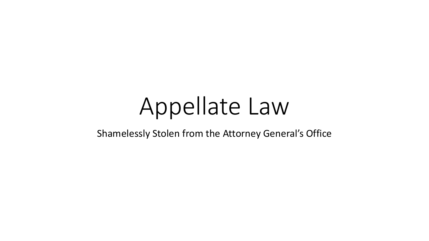# Appellate Law

Shamelessly Stolen from the Attorney General's Office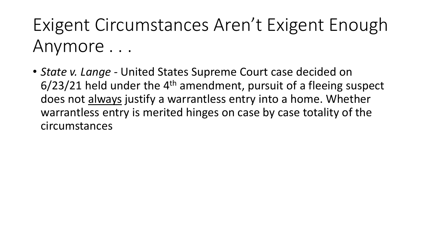Exigent Circumstances Aren't Exigent Enough Anymore . . .

• *State v. Lange -* United States Supreme Court case decided on  $6/23/21$  held under the 4<sup>th</sup> amendment, pursuit of a fleeing suspect does not always justify a warrantless entry into a home. Whether warrantless entry is merited hinges on case by case totality of the circumstances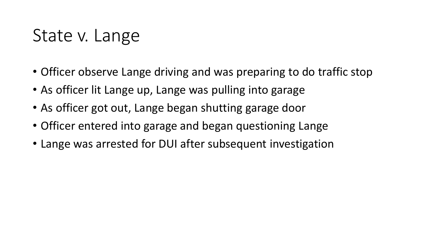## State v. Lange

- Officer observe Lange driving and was preparing to do traffic stop
- As officer lit Lange up, Lange was pulling into garage
- As officer got out, Lange began shutting garage door
- Officer entered into garage and began questioning Lange
- Lange was arrested for DUI after subsequent investigation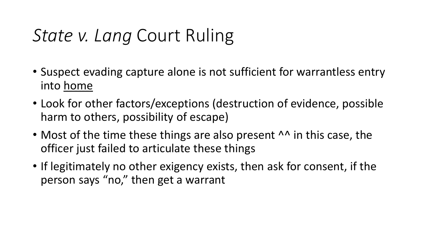# *State v. Lang* Court Ruling

- Suspect evading capture alone is not sufficient for warrantless entry into home
- Look for other factors/exceptions (destruction of evidence, possible harm to others, possibility of escape)
- Most of the time these things are also present <sup>AA</sup> in this case, the officer just failed to articulate these things
- If legitimately no other exigency exists, then ask for consent, if the person says "no," then get a warrant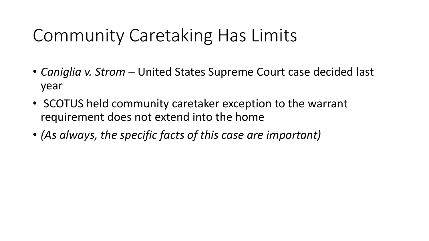# Community Caretaking Has Limits

- *Caniglia v. Strom* United States Supreme Court case decided last year
- SCOTUS held community caretaker exception to the warrant requirement does not extend into the home
- *(As always, the specific facts of this case are important)*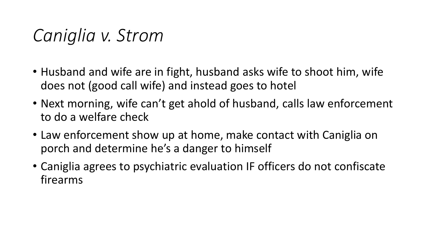# *Caniglia v. Strom*

- Husband and wife are in fight, husband asks wife to shoot him, wife does not (good call wife) and instead goes to hotel
- Next morning, wife can't get ahold of husband, calls law enforcement to do a welfare check
- Law enforcement show up at home, make contact with Caniglia on porch and determine he's a danger to himself
- Caniglia agrees to psychiatric evaluation IF officers do not confiscate firearms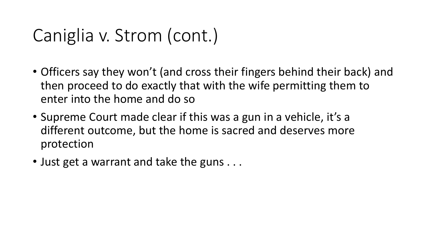# Caniglia v. Strom (cont.)

- Officers say they won't (and cross their fingers behind their back) and then proceed to do exactly that with the wife permitting them to enter into the home and do so
- Supreme Court made clear if this was a gun in a vehicle, it's a different outcome, but the home is sacred and deserves more protection
- Just get a warrant and take the guns . . .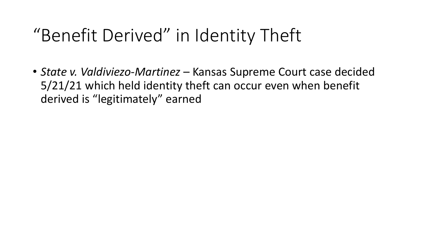### "Benefit Derived" in Identity Theft

• *State v. Valdiviezo-Martinez* – Kansas Supreme Court case decided 5/21/21 which held identity theft can occur even when benefit derived is "legitimately" earned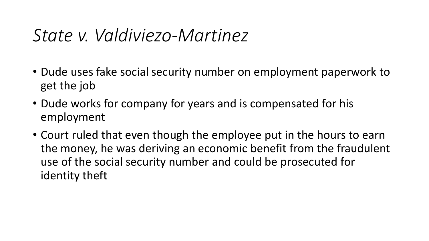### *State v. Valdiviezo-Martinez*

- Dude uses fake social security number on employment paperwork to get the job
- Dude works for company for years and is compensated for his employment
- Court ruled that even though the employee put in the hours to earn the money, he was deriving an economic benefit from the fraudulent use of the social security number and could be prosecuted for identity theft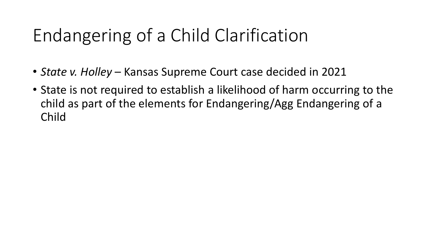# Endangering of a Child Clarification

- *State v. Holley*  Kansas Supreme Court case decided in 2021
- State is not required to establish a likelihood of harm occurring to the child as part of the elements for Endangering/Agg Endangering of a Child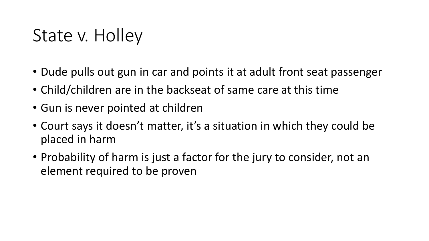# State v. Holley

- Dude pulls out gun in car and points it at adult front seat passenger
- Child/children are in the backseat of same care at this time
- Gun is never pointed at children
- Court says it doesn't matter, it's a situation in which they could be placed in harm
- Probability of harm is just a factor for the jury to consider, not an element required to be proven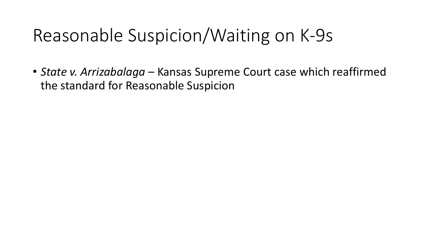# Reasonable Suspicion/Waiting on K-9s

• *State v. Arrizabalaga* – Kansas Supreme Court case which reaffirmed the standard for Reasonable Suspicion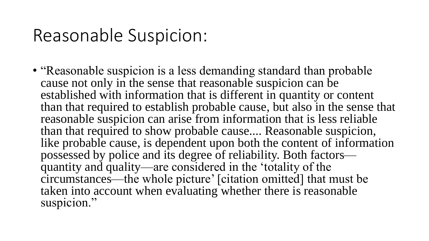# Reasonable Suspicion:

• "Reasonable suspicion is a less demanding standard than probable cause not only in the sense that reasonable suspicion can be established with information that is different in quantity or content than that required to establish probable cause, but also in the sense that reasonable suspicion can arise from information that is less reliable than that required to show probable cause.... Reasonable suspicion, like probable cause, is dependent upon both the content of information possessed by police and its degree of reliability. Both factors quantity and quality—are considered in the 'totality of the circumstances—the whole picture' [citation omitted] that must be taken into account when evaluating whether there is reasonable suspicion."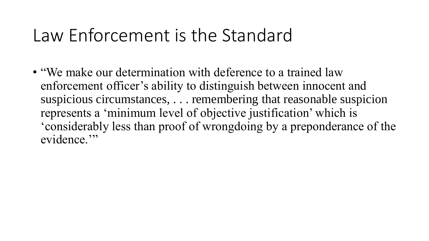#### Law Enforcement is the Standard

• "We make our determination with deference to a trained law enforcement officer's ability to distinguish between innocent and suspicious circumstances, . . . remembering that reasonable suspicion represents a 'minimum level of objective justification' which is 'considerably less than proof of wrongdoing by a preponderance of the evidence."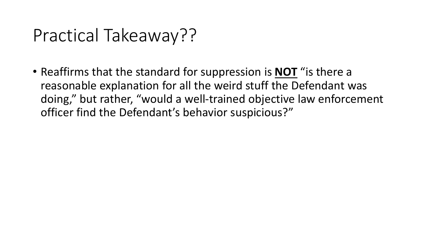### Practical Takeaway??

• Reaffirms that the standard for suppression is **NOT** "is there a reasonable explanation for all the weird stuff the Defendant was doing," but rather, "would a well-trained objective law enforcement officer find the Defendant's behavior suspicious?"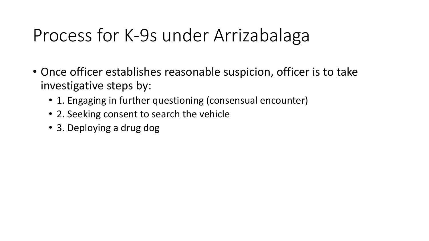# Process for K-9s under Arrizabalaga

- Once officer establishes reasonable suspicion, officer is to take investigative steps by:
	- 1. Engaging in further questioning (consensual encounter)
	- 2. Seeking consent to search the vehicle
	- 3. Deploying a drug dog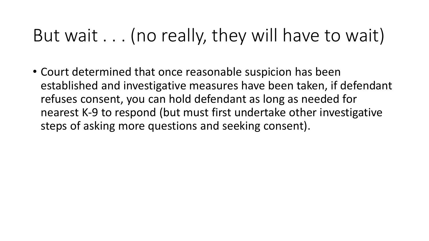# But wait . . . (no really, they will have to wait)

• Court determined that once reasonable suspicion has been established and investigative measures have been taken, if defendant refuses consent, you can hold defendant as long as needed for nearest K-9 to respond (but must first undertake other investigative steps of asking more questions and seeking consent).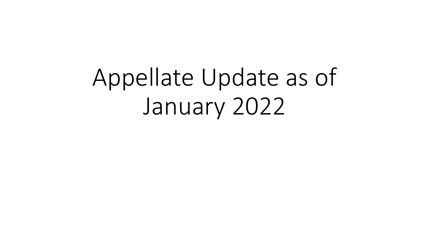Appellate Update as of January 2022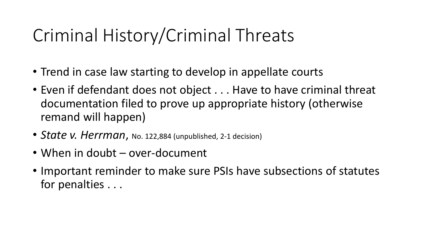# Criminal History/Criminal Threats

- Trend in case law starting to develop in appellate courts
- Even if defendant does not object . . . Have to have criminal threat documentation filed to prove up appropriate history (otherwise remand will happen)
- *State v. Herrman*, No. 122,884 (unpublished, 2-1 decision)
- When in doubt over-document
- Important reminder to make sure PSIs have subsections of statutes for penalties . . .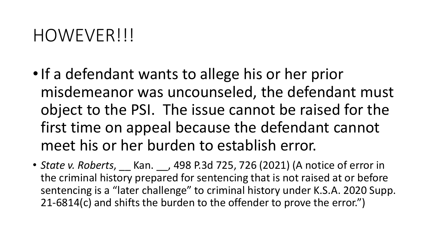#### HOWEVER!!!

- •If a defendant wants to allege his or her prior misdemeanor was uncounseled, the defendant must object to the PSI. The issue cannot be raised for the first time on appeal because the defendant cannot meet his or her burden to establish error.
- *State v. Roberts*, \_\_ Kan. \_\_, 498 P.3d 725, 726 (2021) (A notice of error in the criminal history prepared for sentencing that is not raised at or before sentencing is a "later challenge" to criminal history under K.S.A. 2020 Supp. 21-6814(c) and shifts the burden to the offender to prove the error.")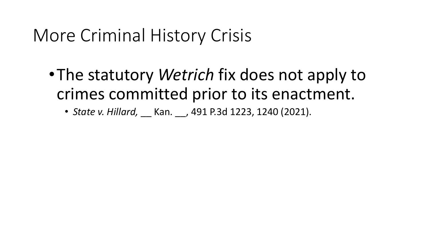## More Criminal History Crisis

- •The statutory *Wetrich* fix does not apply to crimes committed prior to its enactment.
	- *State v. Hillard,* \_\_ Kan. \_\_, 491 P.3d 1223, 1240 (2021).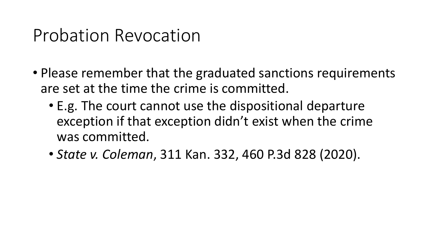### Probation Revocation

- Please remember that the graduated sanctions requirements are set at the time the crime is committed.
	- E.g. The court cannot use the dispositional departure exception if that exception didn't exist when the crime was committed.
	- *State v. Coleman*, 311 Kan. 332, 460 P.3d 828 (2020).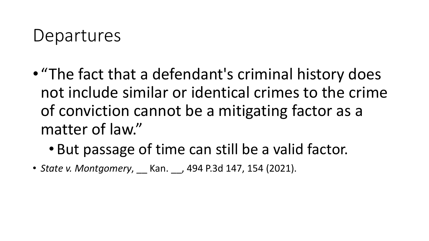#### Departures

- "The fact that a defendant's criminal history does not include similar or identical crimes to the crime of conviction cannot be a mitigating factor as a matter of law."
	- But passage of time can still be a valid factor.
- *State v. Montgomery*, \_\_ Kan. \_\_, 494 P.3d 147, 154 (2021).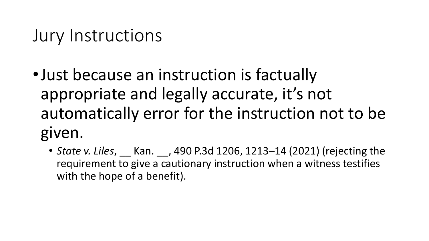### Jury Instructions

- •Just because an instruction is factually appropriate and legally accurate, it's not automatically error for the instruction not to be given.
	- *State v. Liles*, \_\_ Kan. \_\_, 490 P.3d 1206, 1213–14 (2021) (rejecting the requirement to give a cautionary instruction when a witness testifies with the hope of a benefit).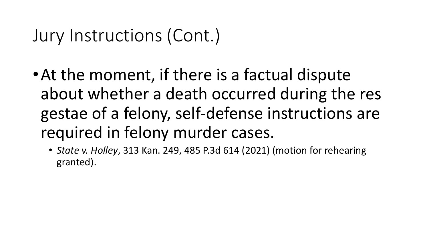### Jury Instructions (Cont.)

- •At the moment, if there is a factual dispute about whether a death occurred during the res gestae of a felony, self-defense instructions are required in felony murder cases.
	- *State v. Holley*, 313 Kan. 249, 485 P.3d 614 (2021) (motion for rehearing granted).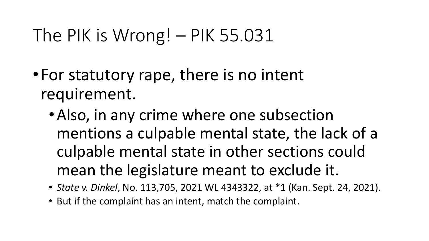# The PIK is Wrong! – PIK 55.031

- •For statutory rape, there is no intent requirement.
	- •Also, in any crime where one subsection mentions a culpable mental state, the lack of a culpable mental state in other sections could mean the legislature meant to exclude it.
	- *State v. Dinkel*, No. 113,705, 2021 WL 4343322, at \*1 (Kan. Sept. 24, 2021).
	- But if the complaint has an intent, match the complaint.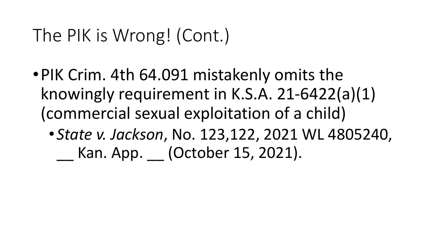# The PIK is Wrong! (Cont.)

- •PIK Crim. 4th 64.091 mistakenly omits the knowingly requirement in K.S.A. 21-6422(a)(1) (commercial sexual exploitation of a child)
	- *State v. Jackson*, No. 123,122, 2021 WL 4805240, \_\_ Kan. App. \_\_ (October 15, 2021).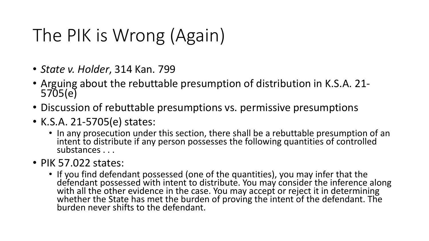# The PIK is Wrong (Again)

- *State v. Holder*, 314 Kan. 799
- Arguing about the rebuttable presumption of distribution in K.S.A. 21- 5705(e)
- Discussion of rebuttable presumptions vs. permissive presumptions
- K.S.A. 21-5705(e) states:
	- In any prosecution under this section, there shall be a rebuttable presumption of an intent to distribute if any person possesses the following quantities of controlled substances . . .
- PIK 57.022 states:
	- If you find defendant possessed (one of the quantities), you may infer that the defendant possessed with intent to distribute. You may consider the inference along with all the other evidence in the case. You may accept or reject it in determining whether the State has met the burden of proving the intent of the defendant. The burden never shifts to the defendant.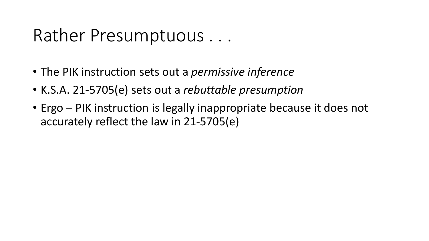#### Rather Presumptuous . . .

- The PIK instruction sets out a *permissive inference*
- K.S.A. 21-5705(e) sets out a *rebuttable presumption*
- Ergo PIK instruction is legally inappropriate because it does not accurately reflect the law in 21-5705(e)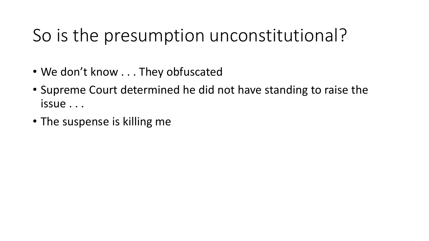# So is the presumption unconstitutional?

- We don't know . . . They obfuscated
- Supreme Court determined he did not have standing to raise the issue . . .
- The suspense is killing me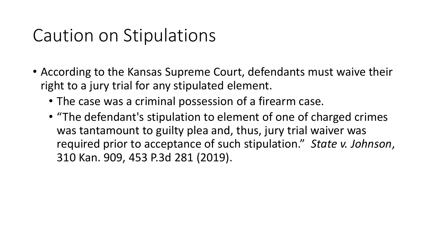### Caution on Stipulations

- According to the Kansas Supreme Court, defendants must waive their right to a jury trial for any stipulated element.
	- The case was a criminal possession of a firearm case.
	- "The defendant's stipulation to element of one of charged crimes was tantamount to guilty plea and, thus, jury trial waiver was required prior to acceptance of such stipulation." *State v. Johnson*, 310 Kan. 909, 453 P.3d 281 (2019).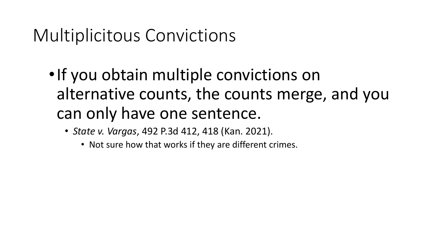# Multiplicitous Convictions

- •If you obtain multiple convictions on alternative counts, the counts merge, and you can only have one sentence.
	- *State v. Vargas*, 492 P.3d 412, 418 (Kan. 2021).
		- Not sure how that works if they are different crimes.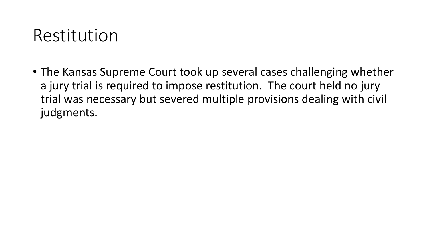### Restitution

• The Kansas Supreme Court took up several cases challenging whether a jury trial is required to impose restitution. The court held no jury trial was necessary but severed multiple provisions dealing with civil judgments.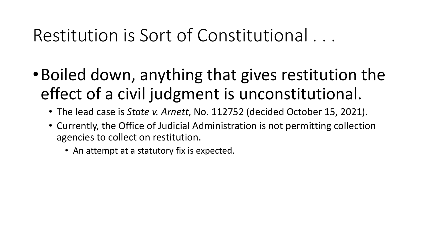# Restitution is Sort of Constitutional . . .

- •Boiled down, anything that gives restitution the effect of a civil judgment is unconstitutional.
	- The lead case is *State v. Arnett*, No. 112752 (decided October 15, 2021).
	- Currently, the Office of Judicial Administration is not permitting collection agencies to collect on restitution.
		- An attempt at a statutory fix is expected.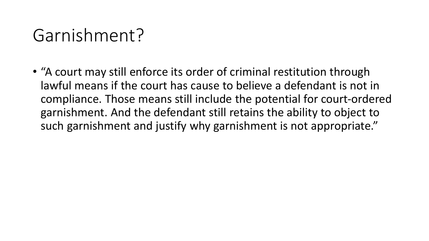### Garnishment?

• "A court may still enforce its order of criminal restitution through lawful means if the court has cause to believe a defendant is not in compliance. Those means still include the potential for court-ordered garnishment. And the defendant still retains the ability to object to such garnishment and justify why garnishment is not appropriate."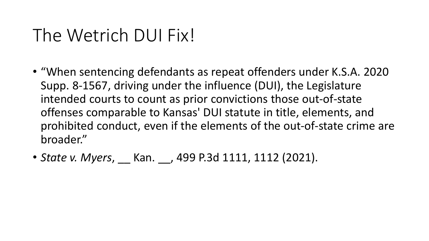## The Wetrich DUI Fix!

- "When sentencing defendants as repeat offenders under K.S.A. 2020 Supp. 8-1567, driving under the influence (DUI), the Legislature intended courts to count as prior convictions those out-of-state offenses comparable to Kansas' DUI statute in title, elements, and prohibited conduct, even if the elements of the out-of-state crime are broader."
- *State v. Myers*, Kan. , 499 P.3d 1111, 1112 (2021).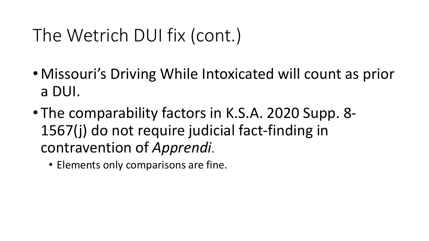## The Wetrich DUI fix (cont.)

- Missouri's Driving While Intoxicated will count as prior a DUI.
- The comparability factors in K.S.A. 2020 Supp. 8- 1567(j) do not require judicial fact-finding in contravention of *Apprendi*.
	- Elements only comparisons are fine.